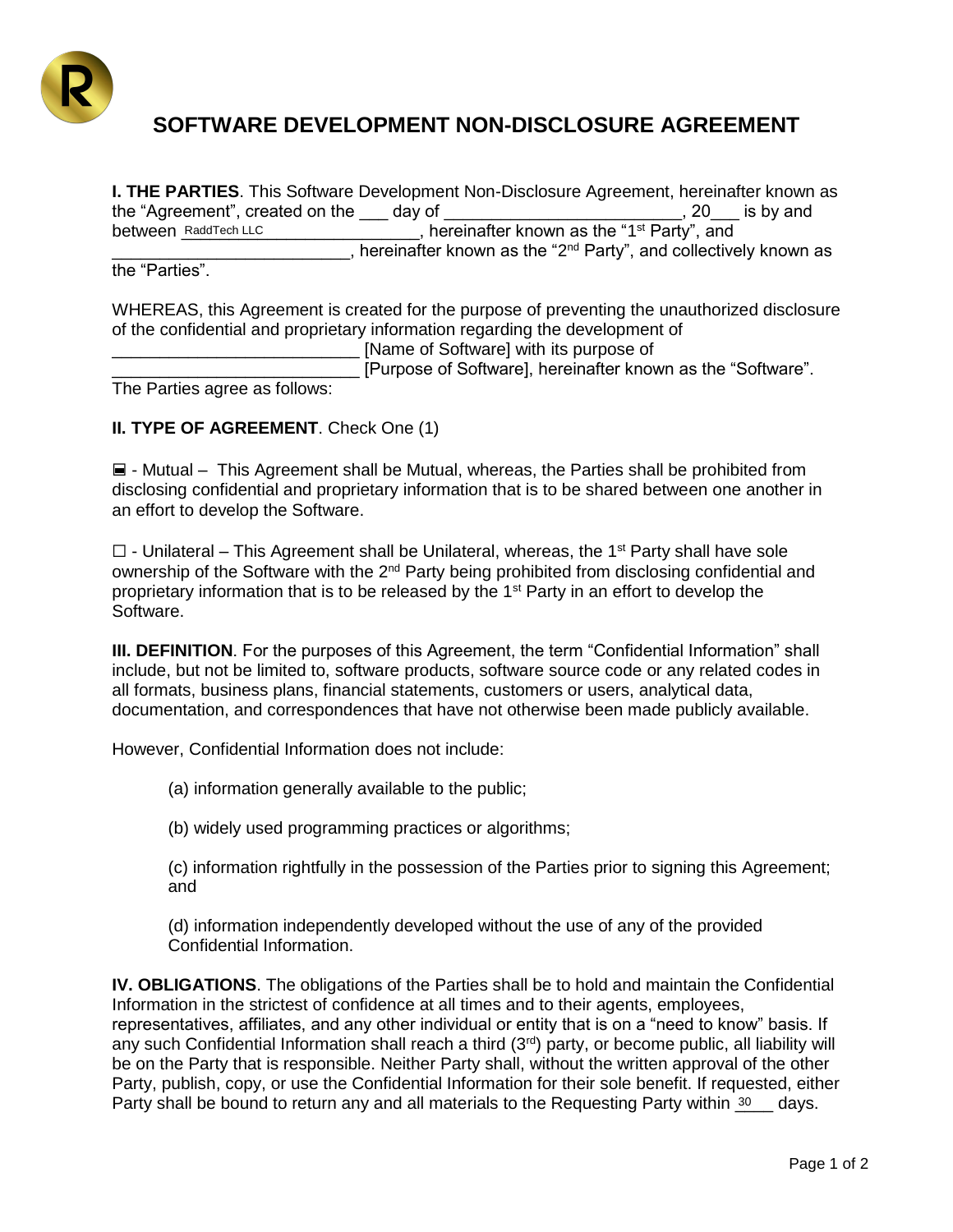

## **SOFTWARE DEVELOPMENT NON-DISCLOSURE AGREEMENT**

**I. THE PARTIES**. This Software Development Non-Disclosure Agreement, hereinafter known as the "Agreement", created on the day of the state of the state of the state of the state of the state of the state of the state of the state of the state of the state of the state of the state of the state of the state of t between RaddTech LLC **the contract of the set of the contract of the contract of the "1<sup>st</sup> Party", and Example 2**, hereinafter known as the "2<sup>nd</sup> Party", and collectively known as the "Parties". between RaddTech LLC

WHEREAS, this Agreement is created for the purpose of preventing the unauthorized disclosure of the confidential and proprietary information regarding the development of

\_\_\_\_\_\_\_\_\_\_\_\_\_\_\_\_\_\_\_\_\_\_\_\_\_\_ [Name of Software] with its purpose of

[Purpose of Software], hereinafter known as the "Software".

The Parties agree as follows:

## **II. TYPE OF AGREEMENT**. Check One (1)

☐ - Mutual – This Agreement shall be Mutual, whereas, the Parties shall be prohibited from disclosing confidential and proprietary information that is to be shared between one another in an effort to develop the Software.

 $\Box$  - Unilateral – This Agreement shall be Unilateral, whereas, the 1<sup>st</sup> Party shall have sole ownership of the Software with the 2<sup>nd</sup> Party being prohibited from disclosing confidential and proprietary information that is to be released by the 1st Party in an effort to develop the Software.

**III. DEFINITION**. For the purposes of this Agreement, the term "Confidential Information" shall include, but not be limited to, software products, software source code or any related codes in all formats, business plans, financial statements, customers or users, analytical data, documentation, and correspondences that have not otherwise been made publicly available.

However, Confidential Information does not include:

(a) information generally available to the public;

(b) widely used programming practices or algorithms;

(c) information rightfully in the possession of the Parties prior to signing this Agreement; and

(d) information independently developed without the use of any of the provided Confidential Information.

**IV. OBLIGATIONS**. The obligations of the Parties shall be to hold and maintain the Confidential Information in the strictest of confidence at all times and to their agents, employees, representatives, affiliates, and any other individual or entity that is on a "need to know" basis. If any such Confidential Information shall reach a third (3rd) party, or become public, all liability will be on the Party that is responsible. Neither Party shall, without the written approval of the other Party, publish, copy, or use the Confidential Information for their sole benefit. If requested, either Party shall be bound to return any and all materials to the Requesting Party within 30 gays.